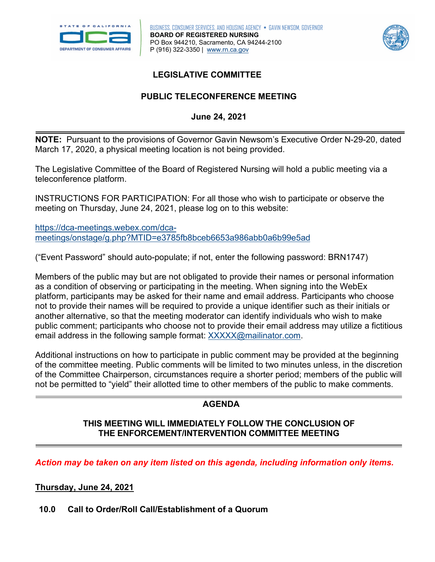



## **LEGISLATIVE COMMITTEE**

# **PUBLIC TELECONFERENCE MEETING June 24, 2021**

 **NOTE:** Pursuant to the provisions of Governor Gavin Newsom's Executive Order N-29-20, dated March 17, 2020, a physical meeting location is not being provided.

The Legislative Committee of the Board of Registered Nursing will hold a public meeting via a teleconference platform.

INSTRUCTIONS FOR PARTICIPATION: For all those who wish to participate or observe the meeting on Thursday, June 24, 2021, please log on to this website:

[https://dca-meetings.webex.com/dca](https://dca-meetings.webex.com/dca-meetings/onstage/g.php?MTID=e3785fb8bceb6653a986abb0a6b99e5ad)[meetings/onstage/g.php?MTID=e3785fb8bceb6653a986abb0a6b99e5ad](https://dca-meetings.webex.com/dca-meetings/onstage/g.php?MTID=e3785fb8bceb6653a986abb0a6b99e5ad) 

("Event Password" should auto-populate; if not, enter the following password: BRN1747)

 Members of the public may but are not obligated to provide their names or personal information platform, participants may be asked for their name and email address. Participants who choose another alternative, so that the meeting moderator can identify individuals who wish to make public comment; participants who choose not to provide their email address may utilize a fictitious as a condition of observing or participating in the meeting. When signing into the WebEx not to provide their names will be required to provide a unique identifier such as their initials or email address in the following sample format: [XXXXX@mailinator.com.](mailto:XXXXX@mailinator.com)

Additional instructions on how to participate in public comment may be provided at the beginning of the committee meeting. Public comments will be limited to two minutes unless, in the discretion of the Committee Chairperson, circumstances require a shorter period; members of the public will not be permitted to "yield" their allotted time to other members of the public to make comments.

# **AGENDA**

#### **THIS MEETING WILL IMMEDIATELY FOLLOW THE CONCLUSION OF THE ENFORCEMENT/INTERVENTION COMMITTEE MEETING**

*Action may be taken on any item listed on this agenda, including information only items.* 

#### **Thursday, June 24, 2021**

#### **10.0 Call to Order/Roll Call/Establishment of a Quorum**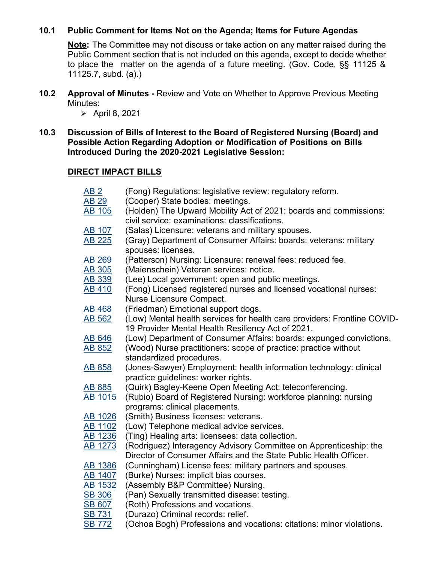#### **10.1 Public Comment for Items Not on the Agenda; Items for Future Agendas**

 **Note:** The Committee may not discuss or take action on any matter raised during the Public Comment section that is not included on this agenda, except to decide whether to place the matter on the agenda of a future meeting. (Gov. Code, §§ 11125 & 11125.7, subd. (a).)

**10.2 Approval of Minutes -** Review and Vote on Whether to Approve Previous Meeting Minutes:

 $\triangleright$  April 8, 2021

 **Possible Action Regarding Adoption or Modification of Positions on Bills Introduced During the 2020-2021 Legislative Session: 10.3 Discussion of Bills of Interest to the Board of Registered Nursing (Board) and** 

#### **DIRECT IMPACT BILLS**

| AB <sub>2</sub> | (Fong) Regulations: legislative review: regulatory reform.                                                         |
|-----------------|--------------------------------------------------------------------------------------------------------------------|
| <b>AB 29</b>    | (Cooper) State bodies: meetings.                                                                                   |
| <b>AB 105</b>   | (Holden) The Upward Mobility Act of 2021: boards and commissions:<br>civil service: examinations: classifications. |
|                 |                                                                                                                    |
| <b>AB 107</b>   | (Salas) Licensure: veterans and military spouses.                                                                  |
| <b>AB 225</b>   | (Gray) Department of Consumer Affairs: boards: veterans: military<br>spouses: licenses.                            |
| <b>AB 269</b>   | (Patterson) Nursing: Licensure: renewal fees: reduced fee.                                                         |
| <b>AB 305</b>   | (Maienschein) Veteran services: notice.                                                                            |
| <b>AB 339</b>   | (Lee) Local government: open and public meetings.                                                                  |
| <b>AB 410</b>   | (Fong) Licensed registered nurses and licensed vocational nurses:                                                  |
|                 | Nurse Licensure Compact.                                                                                           |
| <b>AB 468</b>   | (Friedman) Emotional support dogs.                                                                                 |
| <b>AB 562</b>   | (Low) Mental health services for health care providers: Frontline COVID-                                           |
|                 | 19 Provider Mental Health Resiliency Act of 2021.                                                                  |
| <b>AB 646</b>   | (Low) Department of Consumer Affairs: boards: expunged convictions.                                                |
| <b>AB 852</b>   | (Wood) Nurse practitioners: scope of practice: practice without                                                    |
|                 | standardized procedures.                                                                                           |
| <b>AB 858</b>   | (Jones-Sawyer) Employment: health information technology: clinical                                                 |
|                 | practice guidelines: worker rights.                                                                                |
| <b>AB 885</b>   | (Quirk) Bagley-Keene Open Meeting Act: teleconferencing.                                                           |
| <b>AB 1015</b>  | (Rubio) Board of Registered Nursing: workforce planning: nursing                                                   |
|                 | programs: clinical placements.                                                                                     |
| <b>AB 1026</b>  | (Smith) Business licenses: veterans.                                                                               |
| AB 1102         | (Low) Telephone medical advice services.                                                                           |
| <b>AB 1236</b>  | (Ting) Healing arts: licensees: data collection.                                                                   |
| AB 1273         | (Rodriguez) Interagency Advisory Committee on Apprenticeship: the                                                  |
|                 | Director of Consumer Affairs and the State Public Health Officer.                                                  |
| <b>AB 1386</b>  | (Cunningham) License fees: military partners and spouses.                                                          |
| AB 1407         | (Burke) Nurses: implicit bias courses.                                                                             |
| AB 1532         | (Assembly B&P Committee) Nursing.                                                                                  |
| <b>SB 306</b>   | (Pan) Sexually transmitted disease: testing.                                                                       |
| <b>SB 607</b>   | (Roth) Professions and vocations.                                                                                  |
| <b>SB 731</b>   | (Durazo) Criminal records: relief.                                                                                 |
| <b>SB 772</b>   | (Ochoa Bogh) Professions and vocations: citations: minor violations.                                               |